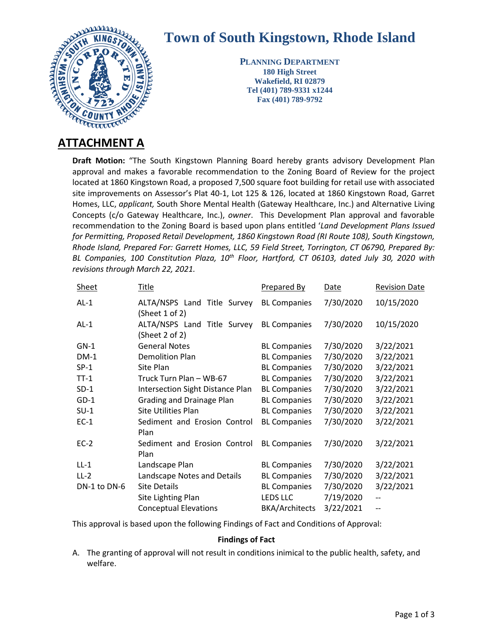

## **Town of South Kingstown, Rhode Island**

**PLANNING DEPARTMENT 180 High Street Wakefield, RI 02879 Tel (401) 789-9331 x1244 Fax (401) 789-9792**

**Draft Motion:** "The South Kingstown Planning Board hereby grants advisory Development Plan approval and makes a favorable recommendation to the Zoning Board of Review for the project located at 1860 Kingstown Road, a proposed 7,500 square foot building for retail use with associated site improvements on Assessor's Plat 40-1, Lot 125 & 126, located at 1860 Kingstown Road, Garret Homes, LLC, *applicant,* South Shore Mental Health (Gateway Healthcare, Inc.) and Alternative Living Concepts (c/o Gateway Healthcare, Inc.), *owner*. This Development Plan approval and favorable recommendation to the Zoning Board is based upon plans entitled '*Land Development Plans Issued for Permitting, Proposed Retail Development, 1860 Kingstown Road (RI Route 108), South Kingstown, Rhode Island, Prepared For: Garrett Homes, LLC, 59 Field Street, Torrington, CT 06790, Prepared By: BL Companies, 100 Constitution Plaza, 10th Floor, Hartford, CT 06103, dated July 30, 2020 with revisions through March 22, 2021.*

| <b>Sheet</b> | <b>Title</b>                                  | <b>Prepared By</b>    | <b>Date</b> | <b>Revision Date</b> |
|--------------|-----------------------------------------------|-----------------------|-------------|----------------------|
| $AL-1$       | ALTA/NSPS Land Title Survey<br>(Sheet 1 of 2) | <b>BL Companies</b>   | 7/30/2020   | 10/15/2020           |
| $AL-1$       | ALTA/NSPS Land Title Survey<br>(Sheet 2 of 2) | <b>BL Companies</b>   | 7/30/2020   | 10/15/2020           |
| $GN-1$       | <b>General Notes</b>                          | <b>BL Companies</b>   | 7/30/2020   | 3/22/2021            |
| $DM-1$       | Demolition Plan                               | <b>BL Companies</b>   | 7/30/2020   | 3/22/2021            |
| $SP-1$       | Site Plan                                     | <b>BL Companies</b>   | 7/30/2020   | 3/22/2021            |
| $TT-1$       | Truck Turn Plan - WB-67                       | <b>BL Companies</b>   | 7/30/2020   | 3/22/2021            |
| $SD-1$       | <b>Intersection Sight Distance Plan</b>       | <b>BL Companies</b>   | 7/30/2020   | 3/22/2021            |
| $GD-1$       | Grading and Drainage Plan                     | <b>BL Companies</b>   | 7/30/2020   | 3/22/2021            |
| $SU-1$       | Site Utilities Plan                           | <b>BL Companies</b>   | 7/30/2020   | 3/22/2021            |
| $EC-1$       | Sediment and Erosion Control<br>Plan          | <b>BL Companies</b>   | 7/30/2020   | 3/22/2021            |
| $EC-2$       | Sediment and Erosion Control<br>Plan          | <b>BL Companies</b>   | 7/30/2020   | 3/22/2021            |
| $LL-1$       | Landscape Plan                                | <b>BL Companies</b>   | 7/30/2020   | 3/22/2021            |
| $LL-2$       | Landscape Notes and Details                   | <b>BL Companies</b>   | 7/30/2020   | 3/22/2021            |
| DN-1 to DN-6 | <b>Site Details</b>                           | <b>BL Companies</b>   | 7/30/2020   | 3/22/2021            |
|              | Site Lighting Plan                            | <b>LEDS LLC</b>       | 7/19/2020   |                      |
|              | <b>Conceptual Elevations</b>                  | <b>BKA/Architects</b> | 3/22/2021   | $-$                  |
|              |                                               |                       |             |                      |

This approval is based upon the following Findings of Fact and Conditions of Approval:

## **Findings of Fact**

A. The granting of approval will not result in conditions inimical to the public health, safety, and welfare.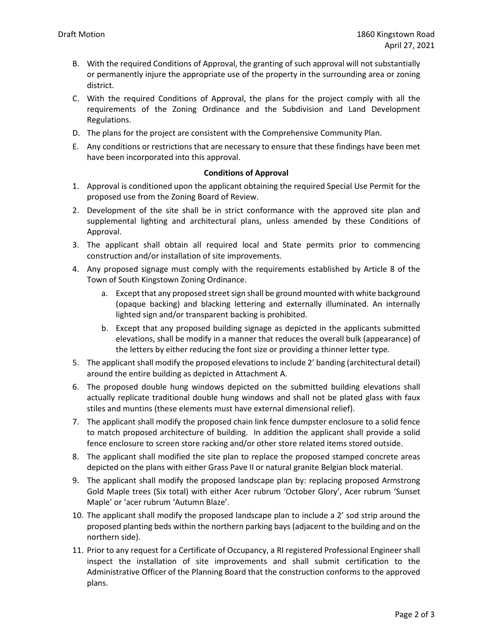- B. With the required Conditions of Approval, the granting of such approval will not substantially or permanently injure the appropriate use of the property in the surrounding area or zoning district.
- C. With the required Conditions of Approval, the plans for the project comply with all the requirements of the Zoning Ordinance and the Subdivision and Land Development Regulations.
- D. The plans for the project are consistent with the Comprehensive Community Plan.
- E. Any conditions or restrictions that are necessary to ensure that these findings have been met have been incorporated into this approval.

## **Conditions of Approval**

- 1. Approval is conditioned upon the applicant obtaining the required Special Use Permit for the proposed use from the Zoning Board of Review.
- 2. Development of the site shall be in strict conformance with the approved site plan and supplemental lighting and architectural plans, unless amended by these Conditions of Approval.
- 3. The applicant shall obtain all required local and State permits prior to commencing construction and/or installation of site improvements.
- 4. Any proposed signage must comply with the requirements established by Article 8 of the Town of South Kingstown Zoning Ordinance.
	- a. Except that any proposed street sign shall be ground mounted with white background (opaque backing) and blacking lettering and externally illuminated. An internally lighted sign and/or transparent backing is prohibited.
	- b. Except that any proposed building signage as depicted in the applicants submitted elevations, shall be modify in a manner that reduces the overall bulk (appearance) of the letters by either reducing the font size or providing a thinner letter type.
- 5. The applicant shall modify the proposed elevations to include 2' banding (architectural detail) around the entire building as depicted in Attachment A.
- 6. The proposed double hung windows depicted on the submitted building elevations shall actually replicate traditional double hung windows and shall not be plated glass with faux stiles and muntins (these elements must have external dimensional relief).
- 7. The applicant shall modify the proposed chain link fence dumpster enclosure to a solid fence to match proposed architecture of building. In addition the applicant shall provide a solid fence enclosure to screen store racking and/or other store related items stored outside.
- 8. The applicant shall modified the site plan to replace the proposed stamped concrete areas depicted on the plans with either Grass Pave II or natural granite Belgian block material.
- 9. The applicant shall modify the proposed landscape plan by: replacing proposed Armstrong Gold Maple trees (Six total) with either Acer rubrum 'October Glory', Acer rubrum 'Sunset Maple' or 'acer rubrum 'Autumn Blaze'.
- 10. The applicant shall modify the proposed landscape plan to include a 2' sod strip around the proposed planting beds within the northern parking bays (adjacent to the building and on the northern side).
- 11. Prior to any request for a Certificate of Occupancy, a RI registered Professional Engineer shall inspect the installation of site improvements and shall submit certification to the Administrative Officer of the Planning Board that the construction conforms to the approved plans.